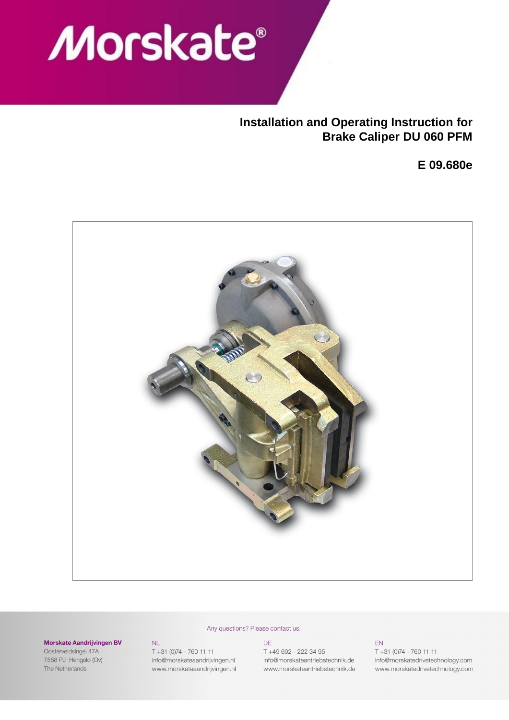# Morskate®

# **Installation and Operating Instruction for Brake Caliper DU 060 PFM**

**E 09.680e**



#### Any questions? Please contact us.

#### Morskate Aandrijvingen BV

Oosterveldsingel 47A 7558 PJ Hengelo (Ov) The Netherlands

 $NL$  $T + 31 (0)74 - 760 11 11$ info@morskateaandrijvingen.nl www.morskateaandrijvingen.nl DE T +49 692 - 222 34 95 info@morskateantriebstechnik.de www.morskateantriebstechnik.de

EN  $T + 31 (0)74 - 760 11 11$ info@morskatedrivetechnology.com www.morskatedrivetechnology.com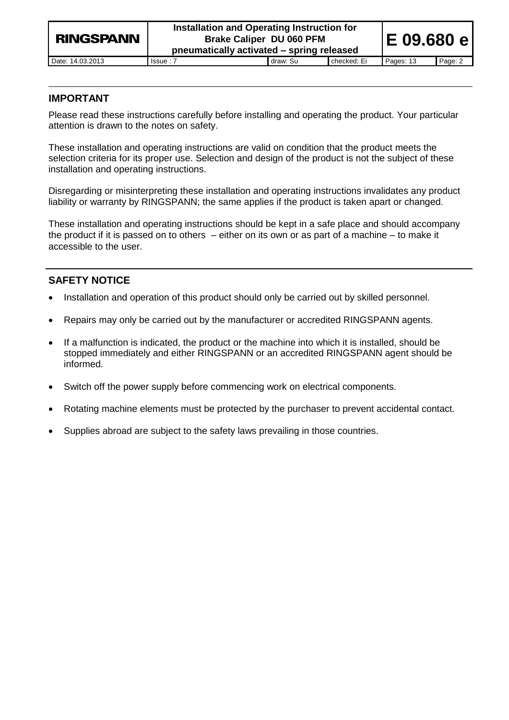| <b>RINGSPANN</b> | Installation and Operating Instruction for<br><b>Brake Caliper DU 060 PFM</b><br>pneumatically activated – spring released |          |             | IE 09.680 e |         |
|------------------|----------------------------------------------------------------------------------------------------------------------------|----------|-------------|-------------|---------|
| Date: 14.03.2013 | $l$ ssue : $7$                                                                                                             | draw: Su | checked: Ei | Pages: 13   | Page: 2 |

# **IMPORTANT**

Please read these instructions carefully before installing and operating the product. Your particular attention is drawn to the notes on safety.

These installation and operating instructions are valid on condition that the product meets the selection criteria for its proper use. Selection and design of the product is not the subject of these installation and operating instructions.

Disregarding or misinterpreting these installation and operating instructions invalidates any product liability or warranty by RINGSPANN; the same applies if the product is taken apart or changed.

These installation and operating instructions should be kept in a safe place and should accompany the product if it is passed on to others – either on its own or as part of a machine – to make it accessible to the user.

# **SAFETY NOTICE**

- Installation and operation of this product should only be carried out by skilled personnel.
- Repairs may only be carried out by the manufacturer or accredited RINGSPANN agents.
- If a malfunction is indicated, the product or the machine into which it is installed, should be stopped immediately and either RINGSPANN or an accredited RINGSPANN agent should be informed.
- Switch off the power supply before commencing work on electrical components.
- Rotating machine elements must be protected by the purchaser to prevent accidental contact.
- Supplies abroad are subject to the safety laws prevailing in those countries.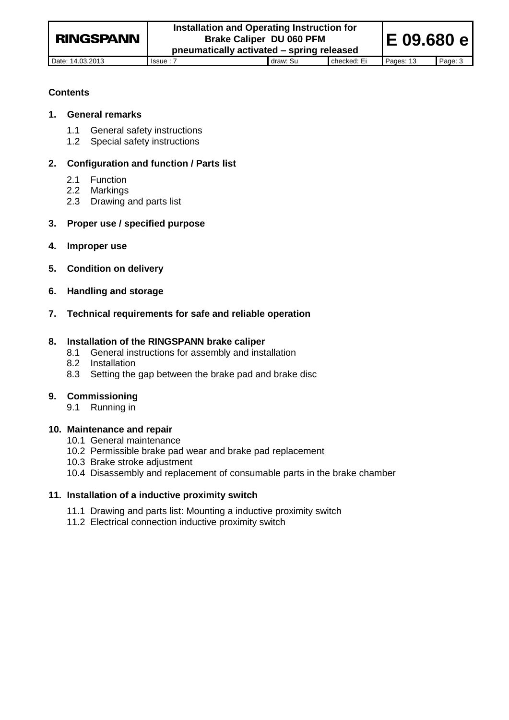Date: 14.03.2013 Issue : 7 draw: Su checked: Ei Pages: 13 Page: 3

**E 09.680 e**

# **Contents**

#### **1. General remarks**

- 1.1 General safety instructions
- 1.2 Special safety instructions

# **2. Configuration and function / Parts list**

- 2.1 Function
- 2.2 Markings
- 2.3 Drawing and parts list

# **3. Proper use / specified purpose**

- **4. Improper use**
- **5. Condition on delivery**
- **6. Handling and storage**
- **7. Technical requirements for safe and reliable operation**

# **8. Installation of the RINGSPANN brake caliper**

- 8.1 General instructions for assembly and installation
- 8.2 Installation
- 8.3 Setting the gap between the brake pad and brake disc

# **9. Commissioning**

9.1 Running in

# **10. Maintenance and repair**

- 10.1 General maintenance
- 10.2 Permissible brake pad wear and brake pad replacement
- 10.3 Brake stroke adjustment
- 10.4 Disassembly and replacement of consumable parts in the brake chamber

# **11. Installation of a inductive proximity switch**

- 11.1 Drawing and parts list: Mounting a inductive proximity switch
- 11.2 Electrical connection inductive proximity switch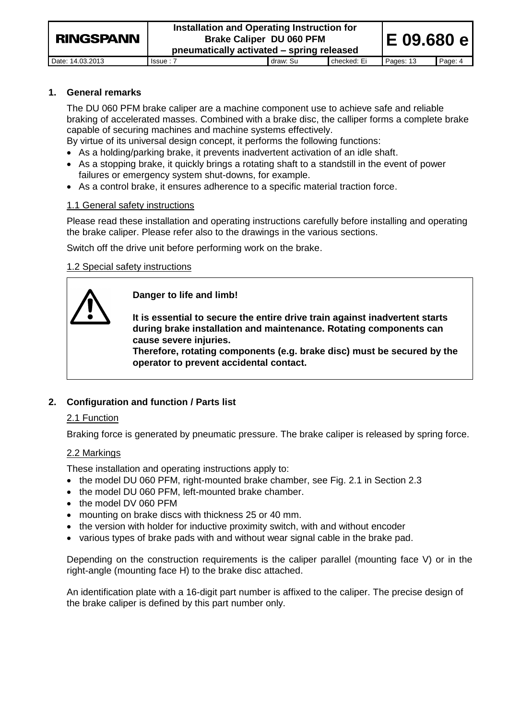Date: 14.03.2013 Issue : 7 draw: Su checked: Ei Pages: 13 Page: 4

# **1. General remarks**

The DU 060 PFM brake caliper are a machine component use to achieve safe and reliable braking of accelerated masses. Combined with a brake disc, the calliper forms a complete brake capable of securing machines and machine systems effectively.

By virtue of its universal design concept, it performs the following functions:

- As a holding/parking brake, it prevents inadvertent activation of an idle shaft.
- As a stopping brake, it quickly brings a rotating shaft to a standstill in the event of power failures or emergency system shut-downs, for example.
- As a control brake, it ensures adherence to a specific material traction force.

# 1.1 General safety instructions

Please read these installation and operating instructions carefully before installing and operating the brake caliper. Please refer also to the drawings in the various sections.

Switch off the drive unit before performing work on the brake.

# 1.2 Special safety instructions



**Danger to life and limb!**

**It is essential to secure the entire drive train against inadvertent starts during brake installation and maintenance. Rotating components can cause severe injuries.** 

**Therefore, rotating components (e.g. brake disc) must be secured by the operator to prevent accidental contact.**

# **2. Configuration and function / Parts list**

# 2.1 Function

Braking force is generated by pneumatic pressure. The brake caliper is released by spring force.

# 2.2 Markings

These installation and operating instructions apply to:

- the model DU 060 PFM, right-mounted brake chamber, see Fig. 2.1 in Section 2.3
- the model DU 060 PFM, left-mounted brake chamber.
- the model DV 060 PFM
- mounting on brake discs with thickness 25 or 40 mm.
- the version with holder for inductive proximity switch, with and without encoder
- various types of brake pads with and without wear signal cable in the brake pad.

Depending on the construction requirements is the caliper parallel (mounting face V) or in the right-angle (mounting face H) to the brake disc attached.

An identification plate with a 16-digit part number is affixed to the caliper. The precise design of the brake caliper is defined by this part number only.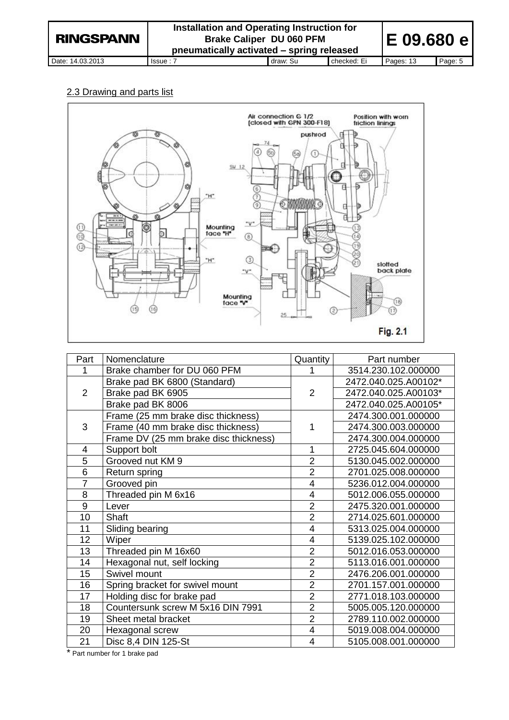# 2.3 Drawing and parts list



| Part           | Nomenclature                          | Quantity                | Part number          |
|----------------|---------------------------------------|-------------------------|----------------------|
| 1              | Brake chamber for DU 060 PFM          | 1                       | 3514.230.102.000000  |
|                | Brake pad BK 6800 (Standard)          |                         | 2472.040.025.A00102* |
| 2              | Brake pad BK 6905                     | $\overline{2}$          | 2472.040.025.A00103* |
|                | Brake pad BK 8006                     |                         | 2472.040.025.A00105* |
|                | Frame (25 mm brake disc thickness)    |                         | 2474.300.001.000000  |
| 3              | Frame (40 mm brake disc thickness)    | 1                       | 2474.300.003.000000  |
|                | Frame DV (25 mm brake disc thickness) |                         | 2474.300.004.000000  |
| 4              | Support bolt                          | 1                       | 2725.045.604.000000  |
| $\overline{5}$ | Grooved nut KM 9                      | $\overline{2}$          | 5130.045.002.000000  |
| 6              | Return spring                         | $\overline{2}$          | 2701.025.008.000000  |
| $\overline{7}$ | Grooved pin                           | $\overline{4}$          | 5236.012.004.000000  |
| 8              | Threaded pin M 6x16                   | 4                       | 5012.006.055.000000  |
| 9              | Lever                                 | $\overline{2}$          | 2475.320.001.000000  |
| 10             | Shaft                                 | $\overline{2}$          | 2714.025.601.000000  |
| 11             | Sliding bearing                       | 4                       | 5313.025.004.000000  |
| 12             | Wiper                                 | $\overline{4}$          | 5139.025.102.000000  |
| 13             | Threaded pin M 16x60                  | $\overline{2}$          | 5012.016.053.000000  |
| 14             | Hexagonal nut, self locking           | $\overline{2}$          | 5113.016.001.000000  |
| 15             | Swivel mount                          | $\overline{2}$          | 2476.206.001.000000  |
| 16             | Spring bracket for swivel mount       | $\overline{2}$          | 2701.157.001.000000  |
| 17             | Holding disc for brake pad            | $\overline{2}$          | 2771.018.103.000000  |
| 18             | Countersunk screw M 5x16 DIN 7991     | $\overline{2}$          | 5005.005.120.000000  |
| 19             | Sheet metal bracket                   | $\overline{2}$          | 2789.110.002.000000  |
| 20             | Hexagonal screw                       | $\overline{\mathbf{4}}$ | 5019.008.004.000000  |
| 21             | Disc 8,4 DIN 125-St                   | $\overline{4}$          | 5105.008.001.000000  |

\* Part number for 1 brake pad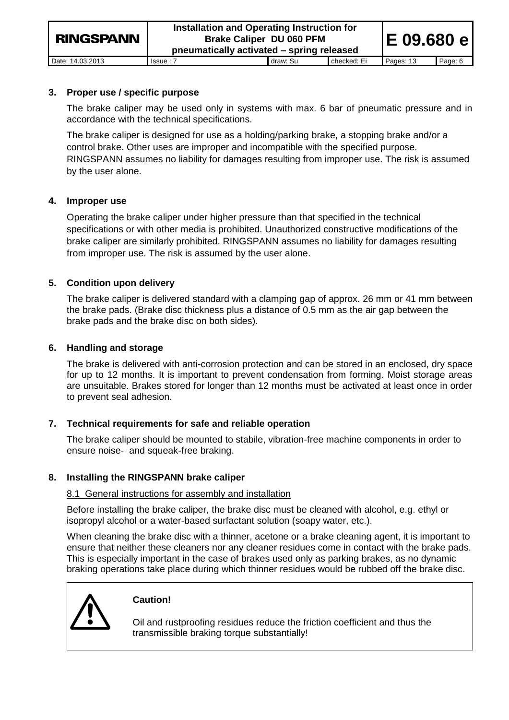# **3. Proper use / specific purpose**

The brake caliper may be used only in systems with max. 6 bar of pneumatic pressure and in accordance with the technical specifications.

The brake caliper is designed for use as a holding/parking brake, a stopping brake and/or a control brake. Other uses are improper and incompatible with the specified purpose. RINGSPANN assumes no liability for damages resulting from improper use. The risk is assumed by the user alone.

# **4. Improper use**

Operating the brake caliper under higher pressure than that specified in the technical specifications or with other media is prohibited. Unauthorized constructive modifications of the brake caliper are similarly prohibited. RINGSPANN assumes no liability for damages resulting from improper use. The risk is assumed by the user alone.

# **5. Condition upon delivery**

The brake caliper is delivered standard with a clamping gap of approx. 26 mm or 41 mm between the brake pads. (Brake disc thickness plus a distance of 0.5 mm as the air gap between the brake pads and the brake disc on both sides).

# **6. Handling and storage**

The brake is delivered with anti-corrosion protection and can be stored in an enclosed, dry space for up to 12 months. It is important to prevent condensation from forming. Moist storage areas are unsuitable. Brakes stored for longer than 12 months must be activated at least once in order to prevent seal adhesion.

# **7. Technical requirements for safe and reliable operation**

The brake caliper should be mounted to stabile, vibration-free machine components in order to ensure noise- and squeak-free braking.

# **8. Installing the RINGSPANN brake caliper**

# 8.1 General instructions for assembly and installation

Before installing the brake caliper, the brake disc must be cleaned with alcohol, e.g. ethyl or isopropyl alcohol or a water-based surfactant solution (soapy water, etc.).

When cleaning the brake disc with a thinner, acetone or a brake cleaning agent, it is important to ensure that neither these cleaners nor any cleaner residues come in contact with the brake pads. This is especially important in the case of brakes used only as parking brakes, as no dynamic braking operations take place during which thinner residues would be rubbed off the brake disc.



# **Caution!**

Oil and rustproofing residues reduce the friction coefficient and thus the transmissible braking torque substantially!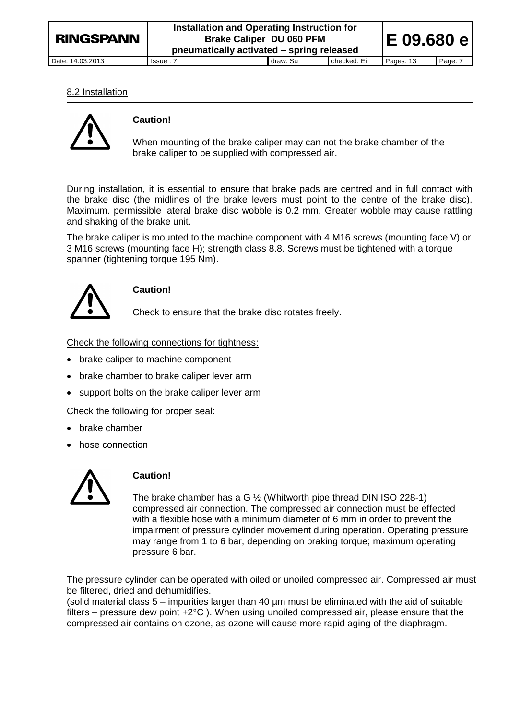**Installation and Operating Instruction for Brake Caliper DU 060 PFM pneumatically activated – spring released**

Date: 14.03.2013 Issue : 7 draw: Su checked: Ei Pages: 13 Page: 7

**E 09.680 e**

#### 8.2 Installation



#### **Caution!**

When mounting of the brake caliper may can not the brake chamber of the brake caliper to be supplied with compressed air.

During installation, it is essential to ensure that brake pads are centred and in full contact with the brake disc (the midlines of the brake levers must point to the centre of the brake disc). Maximum. permissible lateral brake disc wobble is 0.2 mm. Greater wobble may cause rattling and shaking of the brake unit.

The brake caliper is mounted to the machine component with 4 M16 screws (mounting face V) or 3 M16 screws (mounting face H); strength class 8.8. Screws must be tightened with a torque spanner (tightening torque 195 Nm).



# **Caution!**

Check to ensure that the brake disc rotates freely.

Check the following connections for tightness:

- brake caliper to machine component
- brake chamber to brake caliper lever arm
- support bolts on the brake caliper lever arm

Check the following for proper seal:

- brake chamber
- hose connection



# **Caution!**

The brake chamber has a G ½ (Whitworth pipe thread DIN ISO 228-1) compressed air connection. The compressed air connection must be effected with a flexible hose with a minimum diameter of 6 mm in order to prevent the impairment of pressure cylinder movement during operation. Operating pressure may range from 1 to 6 bar, depending on braking torque; maximum operating pressure 6 bar.

The pressure cylinder can be operated with oiled or unoiled compressed air. Compressed air must be filtered, dried and dehumidifies.

(solid material class 5 – impurities larger than 40 µm must be eliminated with the aid of suitable filters – pressure dew point  $+2^{\circ}C$ ). When using unoiled compressed air, please ensure that the compressed air contains on ozone, as ozone will cause more rapid aging of the diaphragm.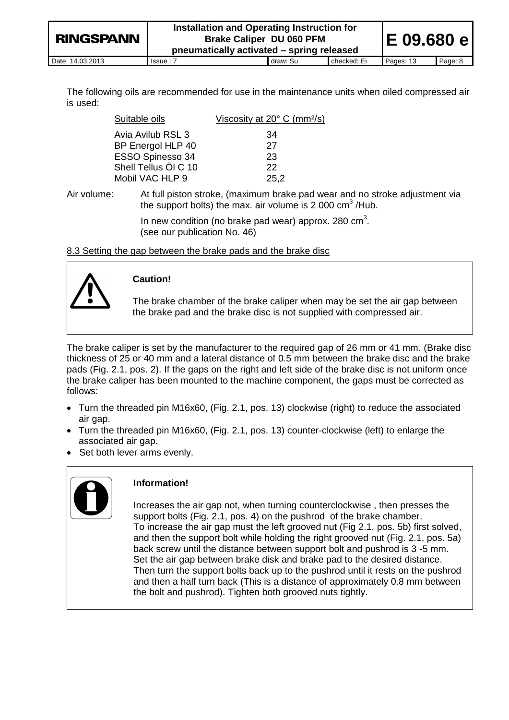| <b>RINGSPANN</b> | Installation and Operating Instruction for<br><b>Brake Caliper DU 060 PFM</b><br>pneumatically activated – spring released |          |             | IE 09.680 el |         |
|------------------|----------------------------------------------------------------------------------------------------------------------------|----------|-------------|--------------|---------|
| Date: 14.03.2013 | Is sue: 7                                                                                                                  | draw: Su | checked: Ei | Pages: 13    | Page: 8 |

The following oils are recommended for use in the maintenance units when oiled compressed air is used:

| Suitable oils        | Viscosity at $20^{\circ}$ C (mm <sup>2</sup> /s) |
|----------------------|--------------------------------------------------|
| Avia Avilub RSL 3    | 34                                               |
| BP Energol HLP 40    | 27                                               |
| ESSO Spinesso 34     | 23                                               |
| Shell Tellus Öl C 10 | 22                                               |
| Mobil VAC HLP 9      | 25,2                                             |

Air volume: At full piston stroke, (maximum brake pad wear and no stroke adjustment via the support bolts) the max. air volume is 2 000  $\text{cm}^3$  /Hub.

> In new condition (no brake pad wear) approx. 280  $\text{cm}^3$ . (see our publication No. 46)

8.3 Setting the gap between the brake pads and the brake disc



# **Caution!**

The brake chamber of the brake caliper when may be set the air gap between the brake pad and the brake disc is not supplied with compressed air.

The brake caliper is set by the manufacturer to the required gap of 26 mm or 41 mm. (Brake disc thickness of 25 or 40 mm and a lateral distance of 0.5 mm between the brake disc and the brake pads (Fig. 2.1, pos. 2). If the gaps on the right and left side of the brake disc is not uniform once the brake caliper has been mounted to the machine component, the gaps must be corrected as follows:

- Turn the threaded pin M16x60, (Fig. 2.1, pos. 13) clockwise (right) to reduce the associated air gap.
- Turn the threaded pin M16x60, (Fig. 2.1, pos. 13) counter-clockwise (left) to enlarge the associated air gap.
- Set both lever arms evenly.



# **Information!**

Increases the air gap not, when turning counterclockwise , then presses the support bolts (Fig. 2.1, pos. 4) on the pushrod of the brake chamber. To increase the air gap must the left grooved nut (Fig 2.1, pos. 5b) first solved, and then the support bolt while holding the right grooved nut (Fig. 2.1, pos. 5a) back screw until the distance between support bolt and pushrod is 3 -5 mm. Set the air gap between brake disk and brake pad to the desired distance. Then turn the support bolts back up to the pushrod until it rests on the pushrod and then a half turn back (This is a distance of approximately 0.8 mm between the bolt and pushrod). Tighten both grooved nuts tightly.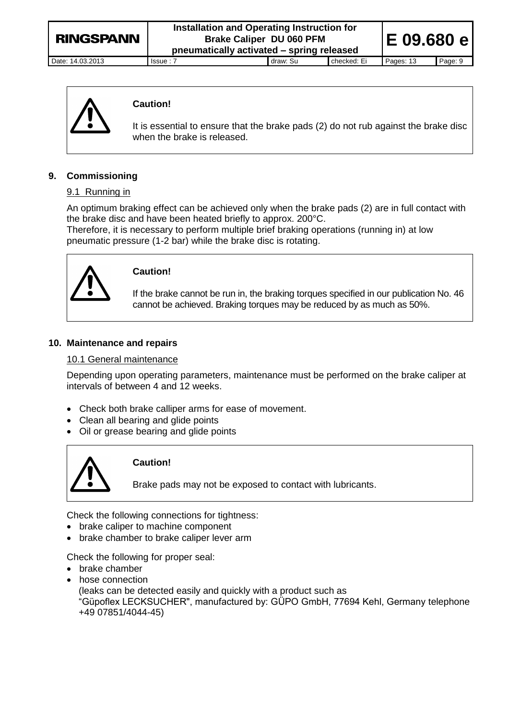| <b>RINGSPANN</b> |  |
|------------------|--|
|                  |  |

**Installation and Operating Instruction for Brake Caliper DU 060 PFM pneumatically activated – spring released**

Date: 14.03.2013 Issue : 7 draw: Su checked: Ei Pages: 13 Page: 9

**E 09.680 e**



# **Caution!**

It is essential to ensure that the brake pads (2) do not rub against the brake disc when the brake is released.

# **9. Commissioning**

# 9.1 Running in

An optimum braking effect can be achieved only when the brake pads (2) are in full contact with the brake disc and have been heated briefly to approx. 200°C.

Therefore, it is necessary to perform multiple brief braking operations (running in) at low pneumatic pressure (1-2 bar) while the brake disc is rotating.



# **Caution!**

If the brake cannot be run in, the braking torques specified in our publication No. 46 cannot be achieved. Braking torques may be reduced by as much as 50%.

#### **10. Maintenance and repairs**

#### 10.1 General maintenance

Depending upon operating parameters, maintenance must be performed on the brake caliper at intervals of between 4 and 12 weeks.

- Check both brake calliper arms for ease of movement.
- Clean all bearing and glide points
- Oil or grease bearing and glide points



# **Caution!**

Brake pads may not be exposed to contact with lubricants.

Check the following connections for tightness:

- brake caliper to machine component
- brake chamber to brake caliper lever arm

Check the following for proper seal:

- brake chamber
- hose connection

(leaks can be detected easily and quickly with a product such as "Güpoflex LECKSUCHER", manufactured by: GÜPO GmbH, 77694 Kehl, Germany telephone +49 07851/4044-45)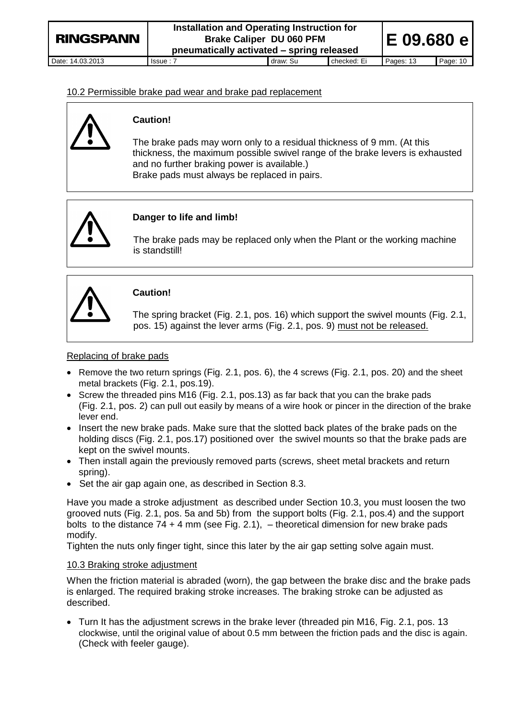**E 09.680 e**

#### 10.2 Permissible brake pad wear and brake pad replacement



#### **Caution!**

The brake pads may worn only to a residual thickness of 9 mm. (At this thickness, the maximum possible swivel range of the brake levers is exhausted and no further braking power is available.) Brake pads must always be replaced in pairs.



# **Danger to life and limb!**

The brake pads may be replaced only when the Plant or the working machine is standstill!



# **Caution!**

The spring bracket (Fig. 2.1, pos. 16) which support the swivel mounts (Fig. 2.1, pos. 15) against the lever arms (Fig. 2.1, pos. 9) must not be released.

#### Replacing of brake pads

- $\bullet$  Remove the two return springs (Fig. 2.1, pos. 6), the 4 screws (Fig. 2.1, pos. 20) and the sheet metal brackets (Fig. 2.1, pos.19).
- Screw the threaded pins M16 (Fig. 2.1, pos.13) as far back that you can the brake pads (Fig. 2.1, pos. 2) can pull out easily by means of a wire hook or pincer in the direction of the brake lever end.
- Insert the new brake pads. Make sure that the slotted back plates of the brake pads on the holding discs (Fig. 2.1, pos.17) positioned over the swivel mounts so that the brake pads are kept on the swivel mounts.
- Then install again the previously removed parts (screws, sheet metal brackets and return spring).
- Set the air gap again one, as described in Section 8.3.

Have you made a stroke adjustment as described under Section 10.3, you must loosen the two grooved nuts (Fig. 2.1, pos. 5a and 5b) from the support bolts (Fig. 2.1, pos.4) and the support bolts to the distance  $74 + 4$  mm (see Fig. 2.1),  $-$  theoretical dimension for new brake pads modify.

Tighten the nuts only finger tight, since this later by the air gap setting solve again must.

#### 10.3 Braking stroke adjustment

When the friction material is abraded (worn), the gap between the brake disc and the brake pads is enlarged. The required braking stroke increases. The braking stroke can be adjusted as described.

 Turn It has the adjustment screws in the brake lever (threaded pin M16, Fig. 2.1, pos. 13 clockwise, until the original value of about 0.5 mm between the friction pads and the disc is again. (Check with feeler gauge).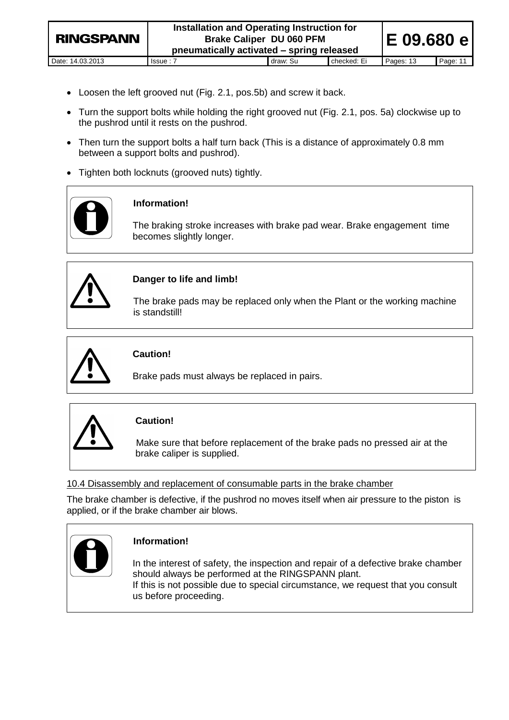- Loosen the left grooved nut (Fig. 2.1, pos.5b) and screw it back.
- Turn the support bolts while holding the right grooved nut (Fig. 2.1, pos. 5a) clockwise up to the pushrod until it rests on the pushrod.
- Then turn the support bolts a half turn back (This is a distance of approximately 0.8 mm between a support bolts and pushrod).
- Tighten both locknuts (grooved nuts) tightly.



# **Information!**

The braking stroke increases with brake pad wear. Brake engagement time becomes slightly longer.



# **Danger to life and limb!**

The brake pads may be replaced only when the Plant or the working machine is standstill!



# **Caution!**

Brake pads must always be replaced in pairs.



# **Caution!**

Make sure that before replacement of the brake pads no pressed air at the brake caliper is supplied.

# 10.4 Disassembly and replacement of consumable parts in the brake chamber

The brake chamber is defective, if the pushrod no moves itself when air pressure to the piston is applied, or if the brake chamber air blows.



# **Information!**

In the interest of safety, the inspection and repair of a defective brake chamber should always be performed at the RINGSPANN plant. If this is not possible due to special circumstance, we request that you consult us before proceeding.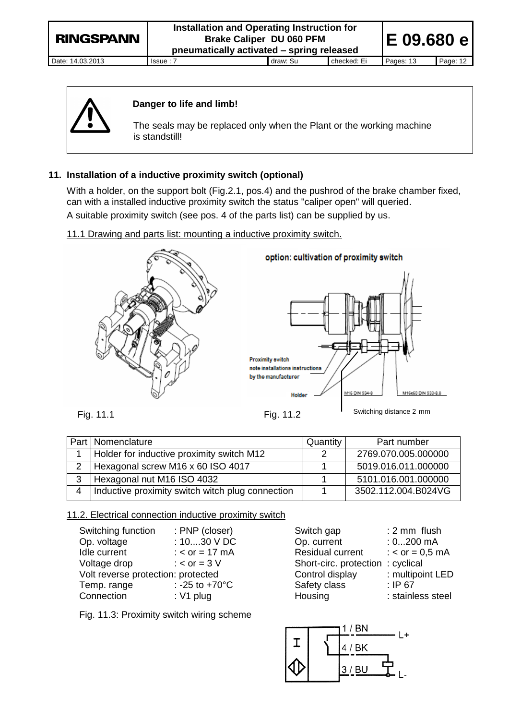| <b>RINGSPANN</b> | Installation and Operating Instruction for<br><b>Brake Caliper DU 060 PFM</b><br>pneumatically activated - spring released |          |             |           | IE 09.680 e |  |
|------------------|----------------------------------------------------------------------------------------------------------------------------|----------|-------------|-----------|-------------|--|
| Date: 14.03.2013 | Is sue: 7                                                                                                                  | draw: Su | checked: Ei | Pages: 13 | Page: 12    |  |



# **Danger to life and limb!**

The seals may be replaced only when the Plant or the working machine is standstill!

# **11. Installation of a inductive proximity switch (optional)**

With a holder, on the support bolt (Fig.2.1, pos.4) and the pushrod of the brake chamber fixed, can with a installed inductive proximity switch the status "caliper open" will queried. A suitable proximity switch (see pos. 4 of the parts list) can be supplied by us.

# 11.1 Drawing and parts list: mounting a inductive proximity switch.



#### option: cultivation of proximity switch



|   | Part   Nomenclature                              | Quantity | Part number         |
|---|--------------------------------------------------|----------|---------------------|
|   | Holder for inductive proximity switch M12        |          | 2769.070.005.000000 |
| 2 | Hexagonal screw M16 x 60 ISO 4017                |          | 5019.016.011.000000 |
| 3 | Hexagonal nut M16 ISO 4032                       |          | 5101.016.001.000000 |
| 4 | Inductive proximity switch witch plug connection |          | 3502.112.004.B024VG |

# 11.2. Electrical connection inductive proximity switch

| Switching function                 | : PNP (closer)           | Switch gap                       | $: 2 \, \text{mm}$ flush |
|------------------------------------|--------------------------|----------------------------------|--------------------------|
| Op. voltage                        | : $1030$ V DC            | Op. current                      | $: 0200$ mA              |
| Idle current                       | : $<$ or = 17 mA         | Residual current                 | : $<$ or = 0,5 mA        |
| Voltage drop                       | : $<$ or = 3 V           | Short-circ. protection: cyclical |                          |
| Volt reverse protection: protected |                          | Control display                  | : multipoint LED         |
| Temp. range                        | : -25 to $+70^{\circ}$ C | Safety class                     | : IP67                   |
| Connection                         | : $V1$ plug              | Housing                          | : stainless steel        |

| Switch gap              | : 2 mm flus    |
|-------------------------|----------------|
| Op. current             | $: 0200$ m.    |
| <b>Residual current</b> | : $<$ or = 0,5 |
| Short-circ. protection  | : cyclical     |
| Control display         | : multipoint   |
| Safety class            | : IP $67$      |
| Housing                 | : stainless    |

Fig. 11.3: Proximity switch wiring scheme